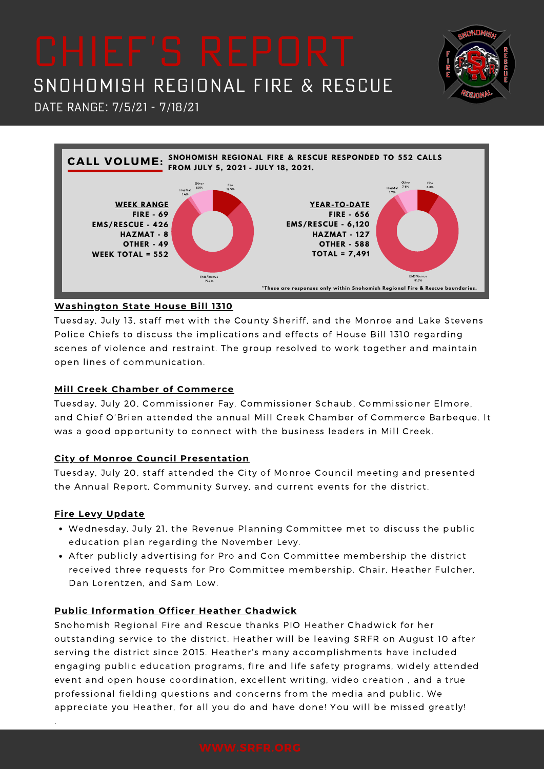

Date Range: 7/5/21 - 7/18/21



## **Washington State House Bill 1310**

Tuesday, July 13, staff met with the County Sheriff, and the Monroe and Lake Stevens Police Chiefs to discuss the implications and effects of House Bill 1310 regarding scenes of violence and restraint. The group resolved to work together and maintain open lines of communication.

### **Mill Creek Chamber of Commerce**

Tuesday, July 20, Commissioner Fay, Commissioner Schaub, Commissioner Elmore, and Chief O'Brien attended the annual Mill Creek Chamber of Commerce Barbeque. It was a good opportunity to connect with the business leaders in Mill Creek.

## **City of Monroe Council Presentation**

Tuesday, July 20, staff attended the City of Monroe Council meeting and presented the Annual Report, Community Survey, and current events for the district.

## **Fire Levy Update**

.

- Wednesday, July 21, the Revenue Planning Committee met to discuss the public education plan regarding the November Levy.
- After publicly advertising for Pro and Con Committee membership the district received three requests for Pro Committee membership. Chair, Heather Fulcher, Dan Lorentzen, and Sam Low.

## **Public Information Officer Heather Chadwick**

Snohomish Regional Fire and Rescue thanks PIO Heather Chadwick for her outstanding service to the district. Heather will be leaving SRFR on August 10 after serving the district since 2015. Heather's many accomplishments have included engaging public education programs, fire and life safety programs, widely attended event and open house coordination, excellent writing, video creation , and a true professional fielding questions and concerns from the media and public. We appreciate you Heather, for all you do and have done! You will be missed greatly!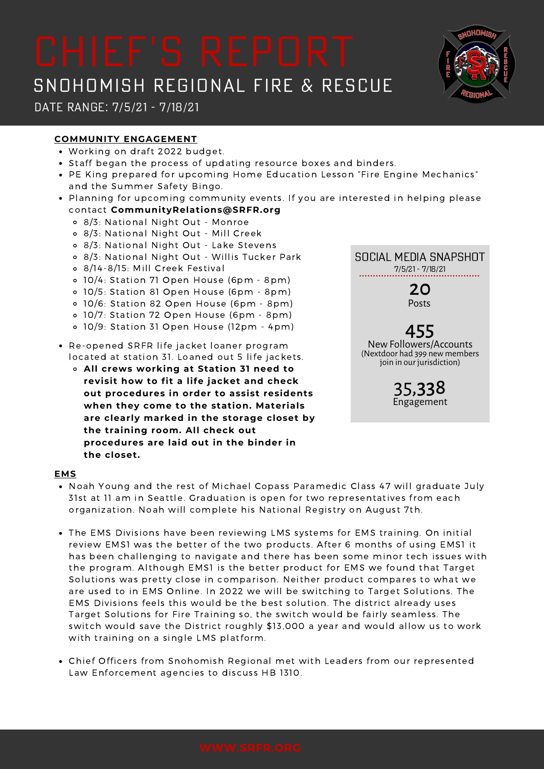Date Range: 7/5/21 - 7/18/21

## **COMMUNITY ENGAGEMENT**

- Working on draft 2022 budget.
- Staff began the process of updating resource boxes and binders.
- PE King prepared for upcoming Home Education Lesson "Fire Engine Mechanics" and the Summer Safety Bingo.
- Planning for upcoming community events. If you are interested in helping please contact **CommunityRelations@SRFR.org**
	- 8/3: National Night Out Monroe
	- 8/3: National Night Out Mill Creek
	- 8/3: National Night Out Lake Stevens
	- 8/3: National Night Out Willis Tucker Park
	- 8/14-8/15: Mill Creek Festival
	- 10/4: Station 71 Open House (6pm 8pm)
	- 10/5: Station 81 Open House (6pm 8pm)
	- 10/6: Station 82 Open House (6pm 8pm)
	- 10/7: Station 72 Open House (6pm 8pm)
	- 10/9: Station 31 Open House (12pm 4pm)
- Re-opened SRFR life jacket loaner program located at station 31. Loaned out 5 life jackets.
	- **All crews working at Station 31 need to revisit how to fit a life jacket and check out procedures in order to assist residents when they come to the station. Materials are clearly marked in the storage closet by the training room. All check out procedures are laid out in the binder in the closet.**

### **EMS**

- Noah Young and the rest of Michael Copass Paramedic Class 47 will graduate July 31st at 11 am in Seattle. Graduation is open for two representatives from each organization. Noah will complete his National Registry on August 7th.
- The EMS Divisions have been reviewing LMS systems for EMS training. On initial review EMS1 was the better of the two products. After 6 months of using EMS1 it has been challenging to navigate and there has been some minor tech issues with the program. Although EMS1 is the better product for EMS we found that Target Solutions was pretty close in comparison. Neither product compares to what we are used to in EMS Online. In 2022 we will be switching to Target Solutions. The EMS Divisions feels this would be the best solution. The district already uses Target Solutions for Fire Training so, the switch would be fairly seamless. The switch would save the District roughly \$13,000 a year and would allow us to work with training on a single LMS platform.
- Chief Officers from Snohomish Regional met with Leaders from our represented Law Enforcement agencies to discuss HB 1310.



NewFollowers/Accounts (Nextdoor had 399 new members join in our jurisdiction)

> 35,338 Engagement

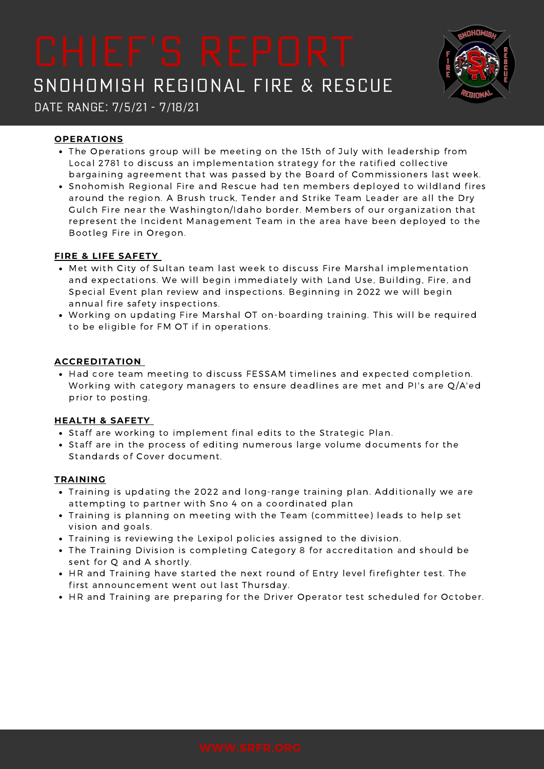

Date Range: 7/5/21 - 7/18/21

### **OPERATIONS**

- The Operations group will be meeting on the 15th of July with leadership from Local 2781 to discuss an implementation strategy for the ratified collective bargaining agreement that was passed by the Board of Commissioners last week.
- Snohomish Regional Fire and Rescue had ten members deployed to wildland fires around the region. A Brush truck, Tender and Strike Team Leader are all the Dry Gulch Fire near the Washington/Idaho border. Members of our organization that represent the Incident Management Team in the area have been deployed to the Bootleg Fire in Oregon.

### **FIRE & LIFE SAFETY**

- Met with City of Sultan team last week to discuss Fire Marshal implementation and expectations. We will begin immediately with Land Use, Building, Fire, and Special Event plan review and inspections. Beginning in 2022 we will begin annual fire safety inspections.
- Working on updating Fire Marshal OT on-boarding training. This will be required to be eligible for FM OT if in operations.

### **ACCREDITATION**

• Had core team meeting to discuss FESSAM timelines and expected completion. Working with category managers to ensure deadlines are met and PI's are Q/A'ed prior to posting.

## **HEALTH & SAFETY**

- Staff are working to implement final edits to the Strategic Plan.
- Staff are in the process of editing numerous large volume documents for the Standards of Cover document.

### **TRAINING**

- Training is updating the 2022 and long-range training plan. Additionally we are attempting to partner with Sno 4 on a coordinated plan
- Training is planning on meeting with the Team (committee) leads to help set vision and goals.
- Training is reviewing the Lexipol policies assigned to the division.
- The Training Division is completing Category 8 for accreditation and should be sent for Q and A shortly.
- HR and Training have started the next round of Entry level firefighter test. The first announcement went out last Thursday.
- HR and Training are preparing for the Driver Operator test scheduled for October.